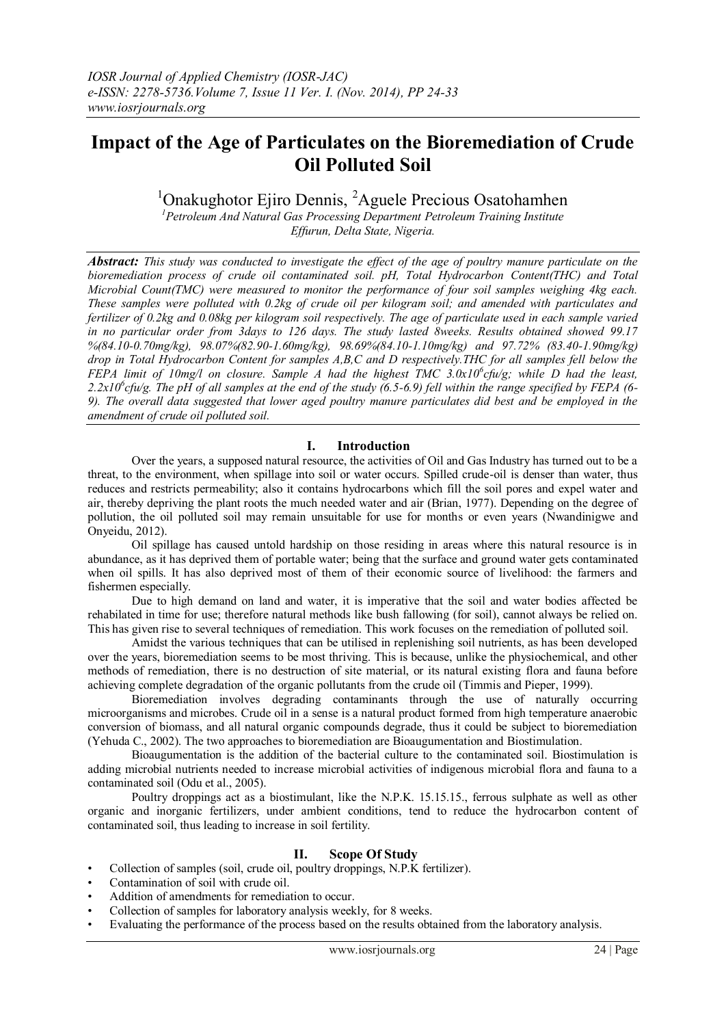# **Impact of the Age of Particulates on the Bioremediation of Crude Oil Polluted Soil**

<sup>1</sup>Onakughotor Ejiro Dennis, <sup>2</sup>Aguele Precious Osatohamhen

*<sup>1</sup>Petroleum And Natural Gas Processing Department Petroleum Training Institute Effurun, Delta State, Nigeria.*

*Abstract: This study was conducted to investigate the effect of the age of poultry manure particulate on the bioremediation process of crude oil contaminated soil. pH, Total Hydrocarbon Content(THC) and Total Microbial Count(TMC) were measured to monitor the performance of four soil samples weighing 4kg each. These samples were polluted with 0.2kg of crude oil per kilogram soil; and amended with particulates and fertilizer of 0.2kg and 0.08kg per kilogram soil respectively. The age of particulate used in each sample varied in no particular order from 3days to 126 days. The study lasted 8weeks. Results obtained showed 99.17 %(84.10-0.70mg/kg), 98.07%(82.90-1.60mg/kg), 98.69%(84.10-1.10mg/kg) and 97.72% (83.40-1.90mg/kg) drop in Total Hydrocarbon Content for samples A,B,C and D respectively.THC for all samples fell below the FEPA limit of 10mg/l on closure. Sample A had the highest TMC 3.0x10<sup>6</sup> cfu/g; while D had the least, 2.2x10<sup>6</sup> cfu/g. The pH of all samples at the end of the study (6.5-6.9) fell within the range specified by FEPA (6- 9). The overall data suggested that lower aged poultry manure particulates did best and be employed in the amendment of crude oil polluted soil.*

## **I. Introduction**

Over the years, a supposed natural resource, the activities of Oil and Gas Industry has turned out to be a threat, to the environment, when spillage into soil or water occurs. Spilled crude-oil is denser than water, thus reduces and restricts permeability; also it contains hydrocarbons which fill the soil pores and expel water and air, thereby depriving the plant roots the much needed water and air (Brian, 1977). Depending on the degree of pollution, the oil polluted soil may remain unsuitable for use for months or even years (Nwandinigwe and Onyeidu, 2012).

Oil spillage has caused untold hardship on those residing in areas where this natural resource is in abundance, as it has deprived them of portable water; being that the surface and ground water gets contaminated when oil spills. It has also deprived most of them of their economic source of livelihood: the farmers and fishermen especially.

Due to high demand on land and water, it is imperative that the soil and water bodies affected be rehabilated in time for use; therefore natural methods like bush fallowing (for soil), cannot always be relied on. This has given rise to several techniques of remediation. This work focuses on the remediation of polluted soil.

Amidst the various techniques that can be utilised in replenishing soil nutrients, as has been developed over the years, bioremediation seems to be most thriving. This is because, unlike the physiochemical, and other methods of remediation, there is no destruction of site material, or its natural existing flora and fauna before achieving complete degradation of the organic pollutants from the crude oil (Timmis and Pieper, 1999).

Bioremediation involves degrading contaminants through the use of naturally occurring microorganisms and microbes. Crude oil in a sense is a natural product formed from high temperature anaerobic conversion of biomass, and all natural organic compounds degrade, thus it could be subject to bioremediation (Yehuda C., 2002). The two approaches to bioremediation are Bioaugumentation and Biostimulation.

Bioaugumentation is the addition of the bacterial culture to the contaminated soil. Biostimulation is adding microbial nutrients needed to increase microbial activities of indigenous microbial flora and fauna to a contaminated soil (Odu et al., 2005).

Poultry droppings act as a biostimulant, like the N.P.K. 15.15.15., ferrous sulphate as well as other organic and inorganic fertilizers, under ambient conditions, tend to reduce the hydrocarbon content of contaminated soil, thus leading to increase in soil fertility.

## **II. Scope Of Study**

- Collection of samples (soil, crude oil, poultry droppings, N.P.K fertilizer).
- Contamination of soil with crude oil.
- Addition of amendments for remediation to occur.
- Collection of samples for laboratory analysis weekly, for 8 weeks.
- Evaluating the performance of the process based on the results obtained from the laboratory analysis.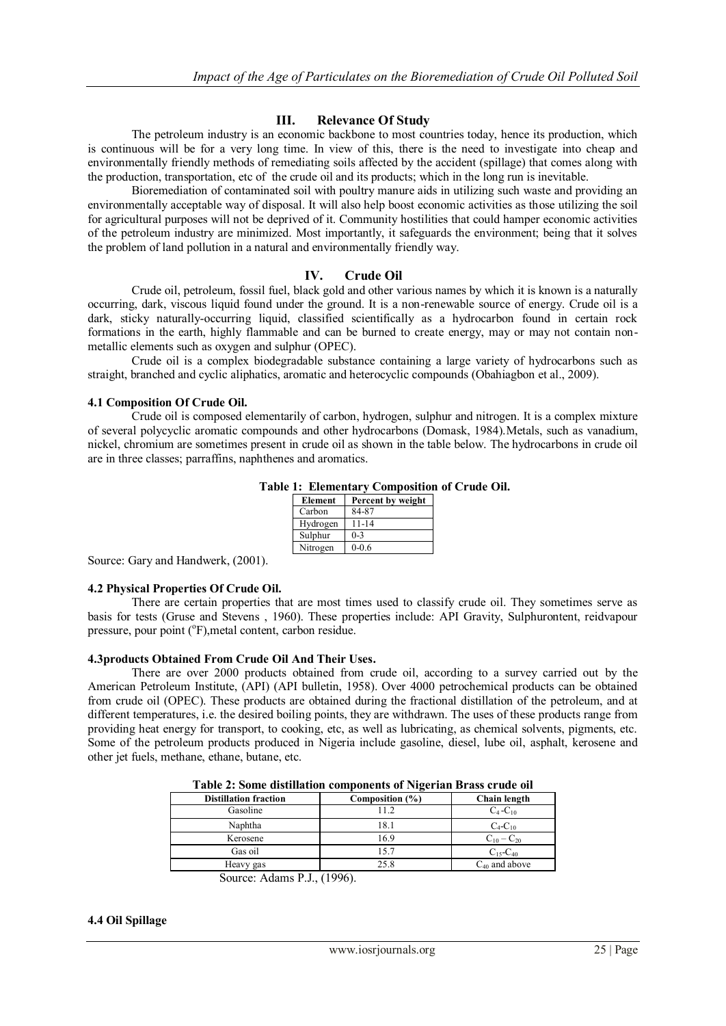## **III. Relevance Of Study**

The petroleum industry is an economic backbone to most countries today, hence its production, which is continuous will be for a very long time. In view of this, there is the need to investigate into cheap and environmentally friendly methods of remediating soils affected by the accident (spillage) that comes along with the production, transportation, etc of the crude oil and its products; which in the long run is inevitable.

Bioremediation of contaminated soil with poultry manure aids in utilizing such waste and providing an environmentally acceptable way of disposal. It will also help boost economic activities as those utilizing the soil for agricultural purposes will not be deprived of it. Community hostilities that could hamper economic activities of the petroleum industry are minimized. Most importantly, it safeguards the environment; being that it solves the problem of land pollution in a natural and environmentally friendly way.

#### **IV. Crude Oil**

Crude oil, petroleum, fossil fuel, black gold and other various names by which it is known is a naturally occurring, dark, viscous liquid found under the ground. It is a non-renewable source of energy. Crude oil is a dark, sticky naturally-occurring liquid, classified scientifically as a hydrocarbon found in certain rock formations in the earth, highly flammable and can be burned to create energy, may or may not contain nonmetallic elements such as oxygen and sulphur (OPEC).

Crude oil is a complex biodegradable substance containing a large variety of hydrocarbons such as straight, branched and cyclic aliphatics, aromatic and heterocyclic compounds (Obahiagbon et al., 2009).

## **4.1 Composition Of Crude Oil.**

Crude oil is composed elementarily of carbon, hydrogen, sulphur and nitrogen. It is a complex mixture of several polycyclic aromatic compounds and other hydrocarbons (Domask, 1984).Metals, such as vanadium, nickel, chromium are sometimes present in crude oil as shown in the table below. The hydrocarbons in crude oil are in three classes; parraffins, naphthenes and aromatics.

| Element  | Percent by weight |
|----------|-------------------|
| Carbon   | 84-87             |
| Hydrogen | $11 - 14$         |
| Sulphur  | $0 - 3$           |
| Nitrogen | $0 - 0.6$         |

Source: Gary and Handwerk, (2001).

#### **4.2 Physical Properties Of Crude Oil.**

There are certain properties that are most times used to classify crude oil. They sometimes serve as basis for tests (Gruse and Stevens , 1960). These properties include: API Gravity, Sulphurontent, reidvapour pressure, pour point (°F), metal content, carbon residue.

## **4.3products Obtained From Crude Oil And Their Uses.**

There are over 2000 products obtained from crude oil, according to a survey carried out by the American Petroleum Institute, (API) (API bulletin, 1958). Over 4000 petrochemical products can be obtained from crude oil (OPEC). These products are obtained during the fractional distillation of the petroleum, and at different temperatures, i.e. the desired boiling points, they are withdrawn. The uses of these products range from providing heat energy for transport, to cooking, etc, as well as lubricating, as chemical solvents, pigments, etc. Some of the petroleum products produced in Nigeria include gasoline, diesel, lube oil, asphalt, kerosene and other jet fuels, methane, ethane, butane, etc.

## **Table 2: Some distillation components of Nigerian Brass crude oil**

| <b>Distillation fraction</b> | Composition (%)         | Chain length        |
|------------------------------|-------------------------|---------------------|
| Gasoline                     | 11.2                    | $C_4 - C_{10}$      |
| Naphtha                      | 18.1                    | $C_4$ - $C_{10}$    |
| Kerosene                     | 16.9                    | $C_{10} - C_{20}$   |
| Gas oil                      | 15.7                    | $C_{15}$ - $C_{40}$ |
| Heavy gas                    | 25.8                    | $C_{40}$ and above  |
| $\sim$<br>$\sim$<br>$ -$     | $\lambda$ and $\lambda$ |                     |

Source: Adams P.J., (1996).

#### **4.4 Oil Spillage**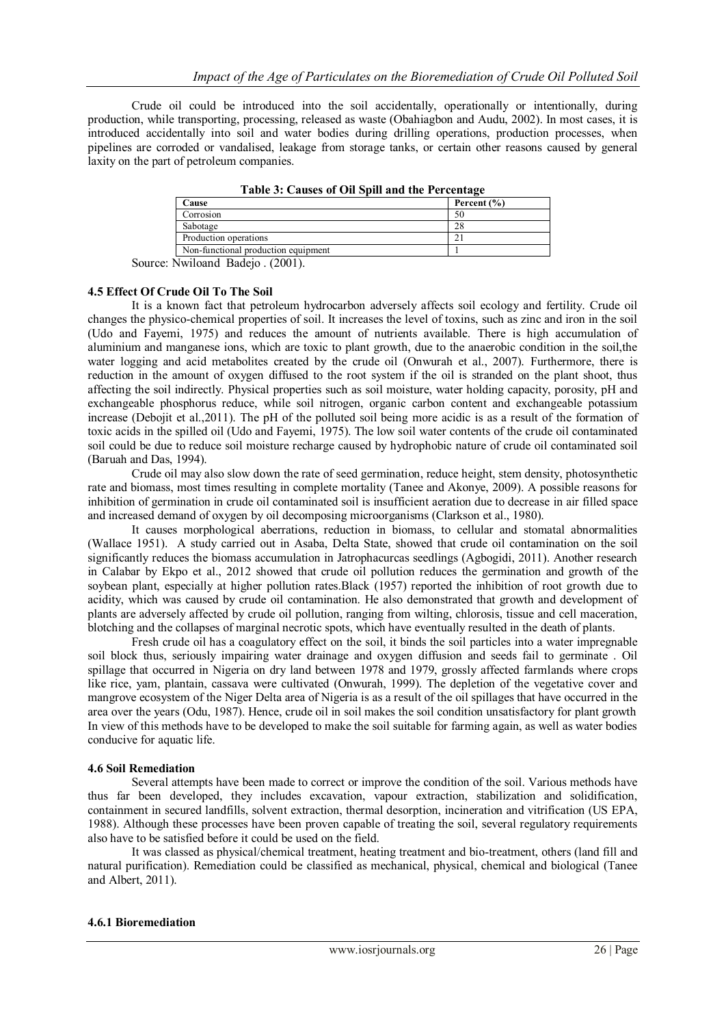Crude oil could be introduced into the soil accidentally, operationally or intentionally, during production, while transporting, processing, released as waste (Obahiagbon and Audu, 2002). In most cases, it is introduced accidentally into soil and water bodies during drilling operations, production processes, when pipelines are corroded or vandalised, leakage from storage tanks, or certain other reasons caused by general laxity on the part of petroleum companies.

| Table 5. Causes of On Spin and the Fertentage |                 |
|-----------------------------------------------|-----------------|
| Cause                                         | Percent $(\% )$ |
| Corrosion                                     | 50              |
| Sabotage                                      | 28              |
| Production operations                         |                 |
| Non-functional production equipment           |                 |
| ът *1<br>(0.001)<br>$1 \times 1$              |                 |

**Table 3: Causes of Oil Spill and the Percentage** 

Source: Nwiloand Badejo . (2001).

#### **4.5 Effect Of Crude Oil To The Soil**

It is a known fact that petroleum hydrocarbon adversely affects soil ecology and fertility. Crude oil changes the physico-chemical properties of soil. It increases the level of toxins, such as zinc and iron in the soil (Udo and Fayemi, 1975) and reduces the amount of nutrients available. There is high accumulation of aluminium and manganese ions, which are toxic to plant growth, due to the anaerobic condition in the soil,the water logging and acid metabolites created by the crude oil (Onwurah et al., 2007). Furthermore, there is reduction in the amount of oxygen diffused to the root system if the oil is stranded on the plant shoot, thus affecting the soil indirectly. Physical properties such as soil moisture, water holding capacity, porosity, pH and exchangeable phosphorus reduce, while soil nitrogen, organic carbon content and exchangeable potassium increase (Debojit et al.,2011). The pH of the polluted soil being more acidic is as a result of the formation of toxic acids in the spilled oil (Udo and Fayemi, 1975). The low soil water contents of the crude oil contaminated soil could be due to reduce soil moisture recharge caused by hydrophobic nature of crude oil contaminated soil (Baruah and Das, 1994).

Crude oil may also slow down the rate of seed germination, reduce height, stem density, photosynthetic rate and biomass, most times resulting in complete mortality (Tanee and Akonye, 2009). A possible reasons for inhibition of germination in crude oil contaminated soil is insufficient aeration due to decrease in air filled space and increased demand of oxygen by oil decomposing microorganisms (Clarkson et al., 1980).

It causes morphological aberrations, reduction in biomass, to cellular and stomatal abnormalities (Wallace 1951). A study carried out in Asaba, Delta State, showed that crude oil contamination on the soil significantly reduces the biomass accumulation in Jatrophacurcas seedlings (Agbogidi, 2011). Another research in Calabar by Ekpo et al., 2012 showed that crude oil pollution reduces the germination and growth of the soybean plant, especially at higher pollution rates.Black (1957) reported the inhibition of root growth due to acidity, which was caused by crude oil contamination. He also demonstrated that growth and development of plants are adversely affected by crude oil pollution, ranging from wilting, chlorosis, tissue and cell maceration, blotching and the collapses of marginal necrotic spots, which have eventually resulted in the death of plants.

Fresh crude oil has a coagulatory effect on the soil, it binds the soil particles into a water impregnable soil block thus, seriously impairing water drainage and oxygen diffusion and seeds fail to germinate . Oil spillage that occurred in Nigeria on dry land between 1978 and 1979, grossly affected farmlands where crops like rice, yam, plantain, cassava were cultivated (Onwurah, 1999). The depletion of the vegetative cover and mangrove ecosystem of the Niger Delta area of Nigeria is as a result of the oil spillages that have occurred in the area over the years (Odu, 1987). Hence, crude oil in soil makes the soil condition unsatisfactory for plant growth In view of this methods have to be developed to make the soil suitable for farming again, as well as water bodies conducive for aquatic life.

#### **4.6 Soil Remediation**

Several attempts have been made to correct or improve the condition of the soil. Various methods have thus far been developed, they includes excavation, vapour extraction, stabilization and solidification, containment in secured landfills, solvent extraction, thermal desorption, incineration and vitrification (US EPA, 1988). Although these processes have been proven capable of treating the soil, several regulatory requirements also have to be satisfied before it could be used on the field.

It was classed as physical/chemical treatment, heating treatment and bio-treatment, others (land fill and natural purification). Remediation could be classified as mechanical, physical, chemical and biological (Tanee and Albert, 2011).

#### **4.6.1 Bioremediation**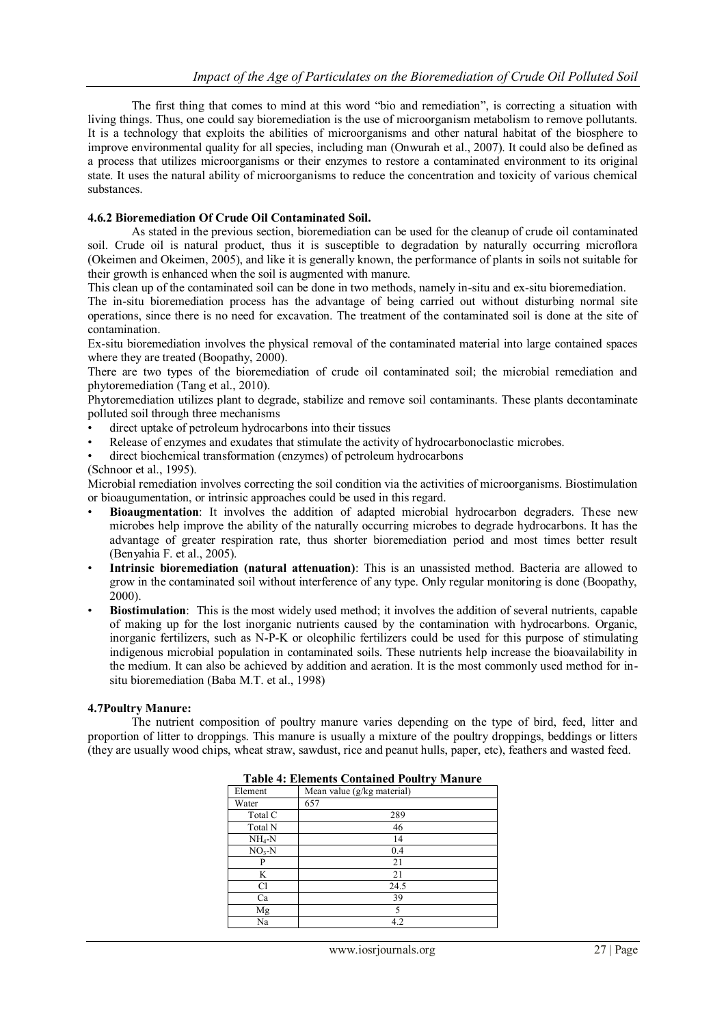The first thing that comes to mind at this word "bio and remediation", is correcting a situation with living things. Thus, one could say bioremediation is the use of microorganism metabolism to remove pollutants. It is a technology that exploits the abilities of microorganisms and other natural habitat of the biosphere to improve environmental quality for all species, including man (Onwurah et al., 2007). It could also be defined as a process that utilizes microorganisms or their enzymes to restore a contaminated environment to its original state. It uses the natural ability of microorganisms to reduce the concentration and toxicity of various chemical substances.

### **4.6.2 Bioremediation Of Crude Oil Contaminated Soil.**

As stated in the previous section, bioremediation can be used for the cleanup of crude oil contaminated soil. Crude oil is natural product, thus it is susceptible to degradation by naturally occurring microflora (Okeimen and Okeimen, 2005), and like it is generally known, the performance of plants in soils not suitable for their growth is enhanced when the soil is augmented with manure.

This clean up of the contaminated soil can be done in two methods, namely in-situ and ex-situ bioremediation.

The in-situ bioremediation process has the advantage of being carried out without disturbing normal site operations, since there is no need for excavation. The treatment of the contaminated soil is done at the site of contamination.

Ex-situ bioremediation involves the physical removal of the contaminated material into large contained spaces where they are treated (Boopathy, 2000).

There are two types of the bioremediation of crude oil contaminated soil; the microbial remediation and phytoremediation (Tang et al., 2010).

Phytoremediation utilizes plant to degrade, stabilize and remove soil contaminants. These plants decontaminate polluted soil through three mechanisms

- direct uptake of petroleum hydrocarbons into their tissues
- Release of enzymes and exudates that stimulate the activity of hydrocarbonoclastic microbes.
- direct biochemical transformation (enzymes) of petroleum hydrocarbons

#### (Schnoor et al., 1995).

Microbial remediation involves correcting the soil condition via the activities of microorganisms. Biostimulation or bioaugumentation, or intrinsic approaches could be used in this regard.

- **Bioaugmentation**: It involves the addition of adapted microbial hydrocarbon degraders. These new microbes help improve the ability of the naturally occurring microbes to degrade hydrocarbons. It has the advantage of greater respiration rate, thus shorter bioremediation period and most times better result (Benyahia F. et al., 2005).
- **Intrinsic bioremediation (natural attenuation)**: This is an unassisted method. Bacteria are allowed to grow in the contaminated soil without interference of any type. Only regular monitoring is done (Boopathy, 2000).
- **Biostimulation**: This is the most widely used method; it involves the addition of several nutrients, capable of making up for the lost inorganic nutrients caused by the contamination with hydrocarbons. Organic, inorganic fertilizers, such as N-P-K or oleophilic fertilizers could be used for this purpose of stimulating indigenous microbial population in contaminated soils. These nutrients help increase the bioavailability in the medium. It can also be achieved by addition and aeration. It is the most commonly used method for insitu bioremediation (Baba M.T. et al., 1998)

## **4.7Poultry Manure:**

The nutrient composition of poultry manure varies depending on the type of bird, feed, litter and proportion of litter to droppings. This manure is usually a mixture of the poultry droppings, beddings or litters (they are usually wood chips, wheat straw, sawdust, rice and peanut hulls, paper, etc), feathers and wasted feed.

| Element  | Mean value (g/kg material) |
|----------|----------------------------|
| Water    | 657                        |
| Total C  | 289                        |
| Total N  | 46                         |
| $NH_4-N$ | 14                         |
| $NO3-N$  | 0.4                        |
| P        | 21                         |
| K        | 21                         |
| Cl       | 24.5                       |
| Ca       | 39                         |
| Mg       | 5                          |
| Na       | 4.2                        |

## **Table 4: Elements Contained Poultry Manure**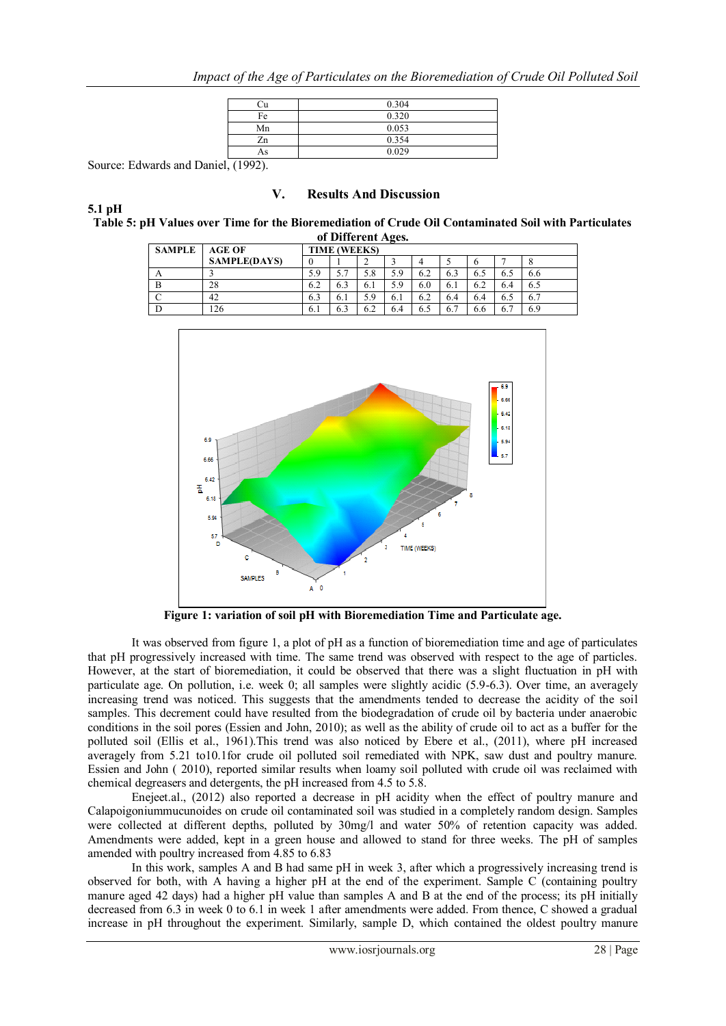| л  | 0.304 |
|----|-------|
| Fe | 0.320 |
| Mn | 0.053 |
| Zn | 0.354 |
| As | 0.029 |

Source: Edwards and Daniel, (1992).

**5.1 pH**

## **V. Results And Discussion**

**Table 5: pH Values over Time for the Bioremediation of Crude Oil Contaminated Soil with Particulates of Different Ages.**

| VI DIIRIGHTALGO. |                     |                     |               |     |     |     |     |     |     |     |
|------------------|---------------------|---------------------|---------------|-----|-----|-----|-----|-----|-----|-----|
| <b>SAMPLE</b>    | AGE OF              | <b>TIME (WEEKS)</b> |               |     |     |     |     |     |     |     |
|                  | <b>SAMPLE(DAYS)</b> |                     |               |     |     |     |     |     |     |     |
|                  |                     | 5.9                 | 5.7           | 5.8 | 5.9 | 6.2 | 6.3 | 0.5 | 6.5 | 6.6 |
|                  | 28                  | 6.2                 | ົາ<br>6.3     | 6.1 | 5.9 | 6.0 | 6.1 | 6.2 | 6.4 | 6.5 |
|                  | 42                  | 6.3                 | 6.1           | 5.9 | 6.1 | 6.2 | 6.4 | 6.4 | 6.5 | 6.7 |
|                  | 126                 | 6.1                 | $\sim$<br>6.3 | 6.2 | 6.4 | 6.5 | 6.7 | 6.6 | 6.7 | 6.9 |



**Figure 1: variation of soil pH with Bioremediation Time and Particulate age.**

It was observed from figure 1, a plot of pH as a function of bioremediation time and age of particulates that pH progressively increased with time. The same trend was observed with respect to the age of particles. However, at the start of bioremediation, it could be observed that there was a slight fluctuation in pH with particulate age. On pollution, i.e. week 0; all samples were slightly acidic (5.9-6.3). Over time, an averagely increasing trend was noticed. This suggests that the amendments tended to decrease the acidity of the soil samples. This decrement could have resulted from the biodegradation of crude oil by bacteria under anaerobic conditions in the soil pores (Essien and John, 2010); as well as the ability of crude oil to act as a buffer for the polluted soil (Ellis et al., 1961).This trend was also noticed by Ebere et al., (2011), where pH increased averagely from 5.21 to10.1for crude oil polluted soil remediated with NPK, saw dust and poultry manure. Essien and John ( 2010), reported similar results when loamy soil polluted with crude oil was reclaimed with chemical degreasers and detergents, the pH increased from 4.5 to 5.8.

Enejeet.al., (2012) also reported a decrease in pH acidity when the effect of poultry manure and Calapoigoniummucunoides on crude oil contaminated soil was studied in a completely random design. Samples were collected at different depths, polluted by 30mg/l and water 50% of retention capacity was added. Amendments were added, kept in a green house and allowed to stand for three weeks. The pH of samples amended with poultry increased from 4.85 to 6.83

In this work, samples A and B had same pH in week 3, after which a progressively increasing trend is observed for both, with A having a higher pH at the end of the experiment. Sample C (containing poultry manure aged 42 days) had a higher pH value than samples A and B at the end of the process; its pH initially decreased from 6.3 in week 0 to 6.1 in week 1 after amendments were added. From thence, C showed a gradual increase in pH throughout the experiment. Similarly, sample D, which contained the oldest poultry manure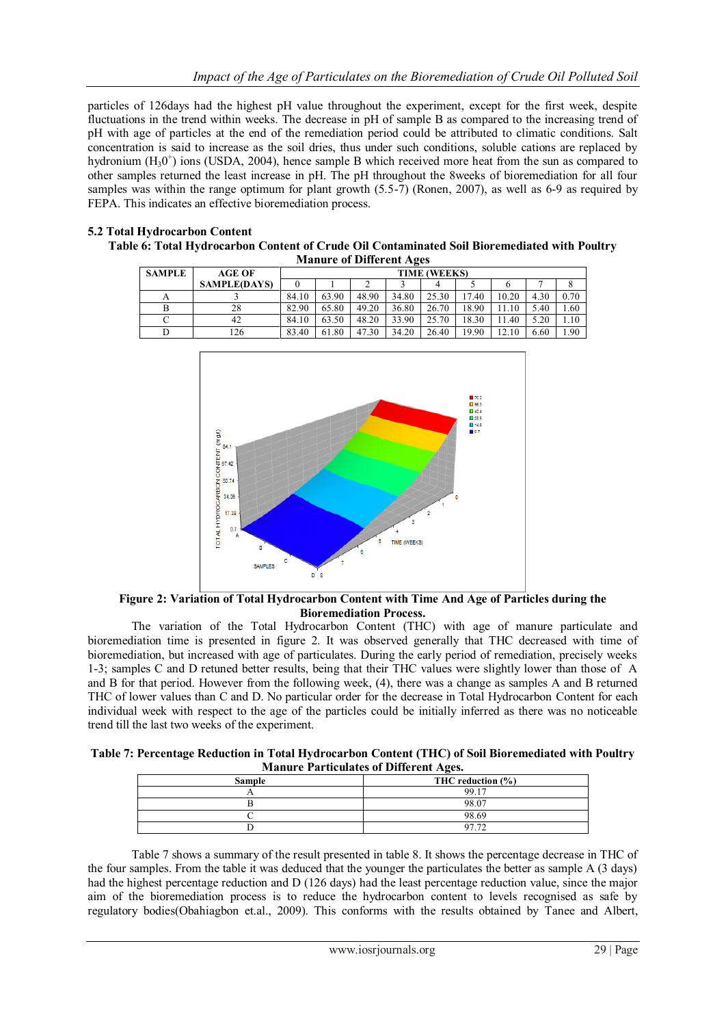particles of 126days had the highest pH value throughout the experiment, except for the first week, despite fluctuations in the trend within weeks. The decrease in pH of sample B as compared to the increasing trend of pH with age of particles at the end of the remediation period could be attributed to climatic conditions. Salt concentration is said to increase as the soil dries, thus under such conditions, soluble cations are replaced by hydronium  $(H_30^+)$  ions (USDA, 2004), hence sample B which received more heat from the sun as compared to other samples returned the least increase in pH. The pH throughout the 8weeks of bioremediation for all four samples was within the range optimum for plant growth (5.5-7) (Ronen, 2007), as well as 6-9 as required by FEPA. This indicates an effective bioremediation process.

| <b>5.2 Total Hydrocarbon Content</b>                                                         |  |
|----------------------------------------------------------------------------------------------|--|
| Table 6: Total Hydrocarbon Content of Crude Oil Contaminated Soil Bioremediated with Poultry |  |
| <b>Manure of Different Ages</b>                                                              |  |

| <b>SAMPLE</b> | <b>AGE OF</b>       |       | <b>TIME (WEEKS)</b> |       |       |       |       |       |      |      |  |  |
|---------------|---------------------|-------|---------------------|-------|-------|-------|-------|-------|------|------|--|--|
|               | <b>SAMPLE(DAYS)</b> |       |                     |       |       |       |       |       |      |      |  |  |
|               |                     | 84.10 | 63.90               | 48.90 | 34.80 | 25.30 | 17.40 | 10.20 | 4.30 | 0.70 |  |  |
| в             | 28                  | 82.90 | 65.80               | 49.20 | 36.80 | 26.70 | 18.90 | 11.10 | 5.40 | 1.60 |  |  |
|               | 42                  | 84.10 | 63.50               | 48.20 | 33.90 | 25.70 | 18.30 | 1.40  | 5.20 | 1.10 |  |  |
|               | 126                 | 83.40 | 61.80               | 47.30 | 34.20 | 26.40 | 19.90 | 12.10 | 6.60 | 1.90 |  |  |



**Figure 2: Variation of Total Hydrocarbon Content with Time And Age of Particles during the Bioremediation Process.**

The variation of the Total Hydrocarbon Content (THC) with age of manure particulate and bioremediation time is presented in figure 2. It was observed generally that THC decreased with time of bioremediation, but increased with age of particulates. During the early period of remediation, precisely weeks 1-3; samples C and D retuned better results, being that their THC values were slightly lower than those of A and B for that period. However from the following week, (4), there was a change as samples A and B returned THC of lower values than C and D. No particular order for the decrease in Total Hydrocarbon Content for each individual week with respect to the age of the particles could be initially inferred as there was no noticeable trend till the last two weeks of the experiment.

| Table 7: Percentage Reduction in Total Hydrocarbon Content (THC) of Soil Bioremediated with Poultry |
|-----------------------------------------------------------------------------------------------------|
| <b>Manure Particulates of Different Ages.</b>                                                       |

| <b>Sample</b> | THC reduction $(\% )$ |
|---------------|-----------------------|
|               | 00 17                 |
|               | 98.07                 |
|               | 98.69                 |
|               | 07.72                 |

Table 7 shows a summary of the result presented in table 8. It shows the percentage decrease in THC of the four samples. From the table it was deduced that the younger the particulates the better as sample A (3 days) had the highest percentage reduction and D (126 days) had the least percentage reduction value, since the major aim of the bioremediation process is to reduce the hydrocarbon content to levels recognised as safe by regulatory bodies(Obahiagbon et.al., 2009). This conforms with the results obtained by Tanee and Albert,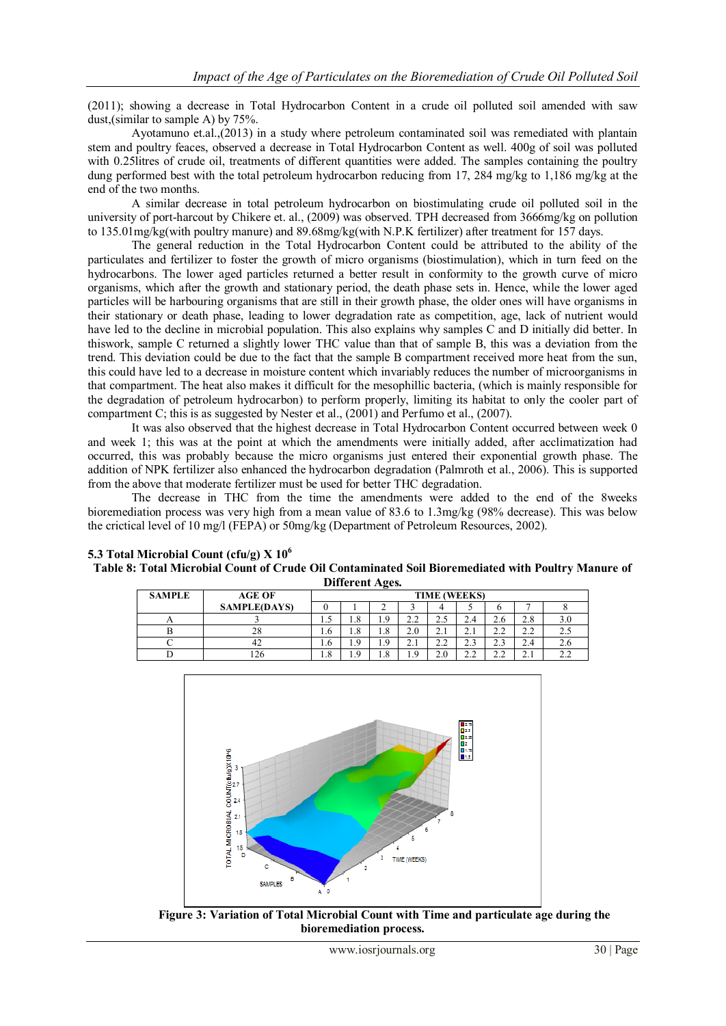(2011); showing a decrease in Total Hydrocarbon Content in a crude oil polluted soil amended with saw dust,(similar to sample A) by 75%.

Ayotamuno et.al.,(2013) in a study where petroleum contaminated soil was remediated with plantain stem and poultry feaces, observed a decrease in Total Hydrocarbon Content as well. 400g of soil was polluted with 0.25 litres of crude oil, treatments of different quantities were added. The samples containing the poultry dung performed best with the total petroleum hydrocarbon reducing from 17, 284 mg/kg to 1,186 mg/kg at the end of the two months.

A similar decrease in total petroleum hydrocarbon on biostimulating crude oil polluted soil in the university of port-harcout by Chikere et. al., (2009) was observed. TPH decreased from 3666mg/kg on pollution to 135.01mg/kg(with poultry manure) and 89.68mg/kg(with N.P.K fertilizer) after treatment for 157 days.

The general reduction in the Total Hydrocarbon Content could be attributed to the ability of the particulates and fertilizer to foster the growth of micro organisms (biostimulation), which in turn feed on the hydrocarbons. The lower aged particles returned a better result in conformity to the growth curve of micro organisms, which after the growth and stationary period, the death phase sets in. Hence, while the lower aged particles will be harbouring organisms that are still in their growth phase, the older ones will have organisms in their stationary or death phase, leading to lower degradation rate as competition, age, lack of nutrient would have led to the decline in microbial population. This also explains why samples C and D initially did better. In thiswork, sample C returned a slightly lower THC value than that of sample B, this was a deviation from the trend. This deviation could be due to the fact that the sample B compartment received more heat from the sun, this could have led to a decrease in moisture content which invariably reduces the number of microorganisms in that compartment. The heat also makes it difficult for the mesophillic bacteria, (which is mainly responsible for the degradation of petroleum hydrocarbon) to perform properly, limiting its habitat to only the cooler part of compartment C; this is as suggested by Nester et al., (2001) and Perfumo et al., (2007).

It was also observed that the highest decrease in Total Hydrocarbon Content occurred between week 0 and week 1; this was at the point at which the amendments were initially added, after acclimatization had occurred, this was probably because the micro organisms just entered their exponential growth phase. The addition of NPK fertilizer also enhanced the hydrocarbon degradation (Palmroth et al., 2006). This is supported from the above that moderate fertilizer must be used for better THC degradation.

The decrease in THC from the time the amendments were added to the end of the 8weeks bioremediation process was very high from a mean value of 83.6 to 1.3mg/kg (98% decrease). This was below the crictical level of 10 mg/l (FEPA) or 50mg/kg (Department of Petroleum Resources, 2002).

| DHIEFENt Ages. |                     |     |              |           |          |            |     |          |            |     |
|----------------|---------------------|-----|--------------|-----------|----------|------------|-----|----------|------------|-----|
| <b>SAMPLE</b>  | <b>AGE OF</b>       |     | TIME (WEEKS) |           |          |            |     |          |            |     |
|                | <b>SAMPLE(DAYS)</b> |     |              |           |          |            |     |          |            |     |
| A              |                     | ن د | 1.8          | 1.9       | ◠        |            | 2.4 |          | 2.8        | 3.0 |
|                | 28                  | 1.6 | 1.8          | 1.8       | 2.0      | $\angle 1$ | 2.1 | <u>.</u> | 2.2        | 2.5 |
|                | 42                  | 1.0 | 1.9          | ∣Q<br>1.5 | $\sim$   | າ າ        | 2.3 |          | 2.4        | 2.6 |
|                | 26                  | 1.8 | 1.9          | 1.8       | $\Omega$ | 2.0        | 2.2 |          | $\angle 1$ | 2.2 |

# **5.3 Total Microbial Count (cfu/g) Χ 10<sup>6</sup>**



**SAMPLES** 

A 0

**Table 8: Total Microbial Count of Crude Oil Contaminated Soil Bioremediated with Poultry Manure of Different Ages.**

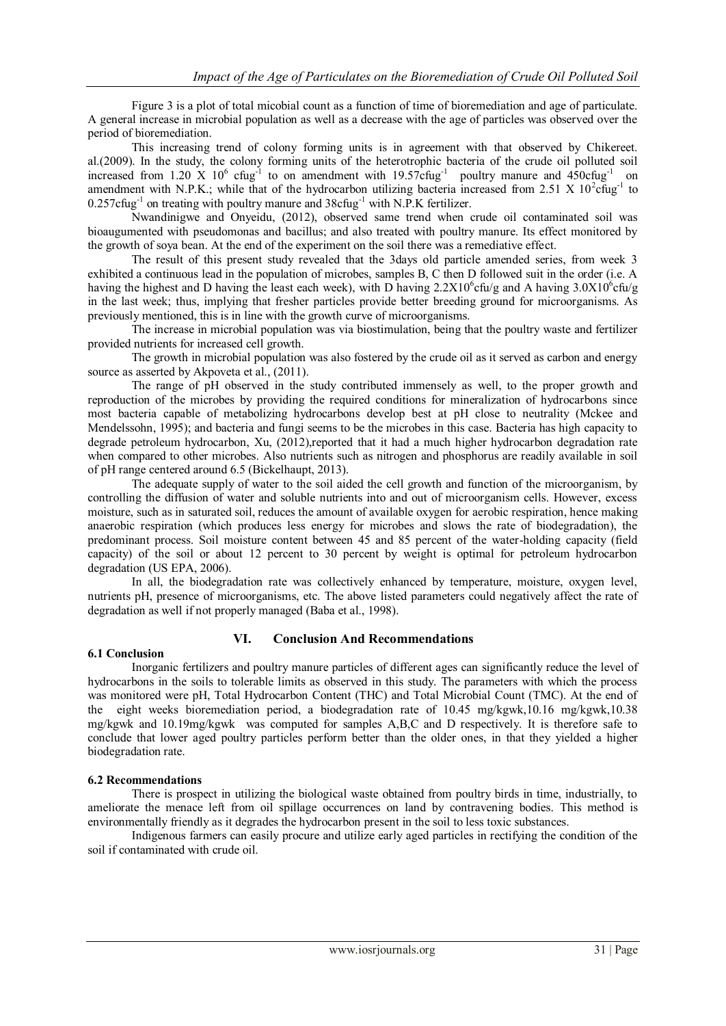Figure 3 is a plot of total micobial count as a function of time of bioremediation and age of particulate. A general increase in microbial population as well as a decrease with the age of particles was observed over the period of bioremediation.

This increasing trend of colony forming units is in agreement with that observed by Chikereet. al.(2009). In the study, the colony forming units of the heterotrophic bacteria of the crude oil polluted soil increased from 1.20 X  $10^6$  cfug<sup>-1</sup> to on amendment with  $19.57$ cfug<sup>-1</sup> poultry manure and  $450$ cfug<sup>-1</sup> on amendment with N.P.K.; while that of the hydrocarbon utilizing bacteria increased from 2.51 X  $10^2$ cfug<sup>-1</sup> to  $0.257$ cfug<sup>-1</sup> on treating with poultry manure and  $38$ cfug<sup>-1</sup> with N.P.K fertilizer.

Nwandinigwe and Onyeidu, (2012), observed same trend when crude oil contaminated soil was bioaugumented with pseudomonas and bacillus; and also treated with poultry manure. Its effect monitored by the growth of soya bean. At the end of the experiment on the soil there was a remediative effect.

The result of this present study revealed that the 3days old particle amended series, from week 3 exhibited a continuous lead in the population of microbes, samples B, C then D followed suit in the order (i.e. A having the highest and D having the least each week), with D having 2.2X10<sup>6</sup>cfu/g and A having 3.0X10<sup>6</sup>cfu/g in the last week; thus, implying that fresher particles provide better breeding ground for microorganisms. As previously mentioned, this is in line with the growth curve of microorganisms.

The increase in microbial population was via biostimulation, being that the poultry waste and fertilizer provided nutrients for increased cell growth.

The growth in microbial population was also fostered by the crude oil as it served as carbon and energy source as asserted by Akpoveta et al.,  $(2011)$ .

The range of pH observed in the study contributed immensely as well, to the proper growth and reproduction of the microbes by providing the required conditions for mineralization of hydrocarbons since most bacteria capable of metabolizing hydrocarbons develop best at pH close to neutrality (Mckee and Mendelssohn, 1995); and bacteria and fungi seems to be the microbes in this case. Bacteria has high capacity to degrade petroleum hydrocarbon, Xu, (2012),reported that it had a much higher hydrocarbon degradation rate when compared to other microbes. Also nutrients such as nitrogen and phosphorus are readily available in soil of pH range centered around 6.5 (Bickelhaupt, 2013).

The adequate supply of water to the soil aided the cell growth and function of the microorganism, by controlling the diffusion of water and soluble nutrients into and out of microorganism cells. However, excess moisture, such as in saturated soil, reduces the amount of available oxygen for aerobic respiration, hence making anaerobic respiration (which produces less energy for microbes and slows the rate of biodegradation), the predominant process. Soil moisture content between 45 and 85 percent of the water-holding capacity (field capacity) of the soil or about 12 percent to 30 percent by weight is optimal for petroleum hydrocarbon degradation (US EPA, 2006).

In all, the biodegradation rate was collectively enhanced by temperature, moisture, oxygen level, nutrients pH, presence of microorganisms, etc. The above listed parameters could negatively affect the rate of degradation as well if not properly managed (Baba et al., 1998).

## **VI. Conclusion And Recommendations**

#### **6.1 Conclusion**

Inorganic fertilizers and poultry manure particles of different ages can significantly reduce the level of hydrocarbons in the soils to tolerable limits as observed in this study. The parameters with which the process was monitored were pH, Total Hydrocarbon Content (THC) and Total Microbial Count (TMC). At the end of the eight weeks bioremediation period, a biodegradation rate of 10.45 mg/kgwk,10.16 mg/kgwk,10.38 mg/kgwk and 10.19mg/kgwk was computed for samples A,B,C and D respectively. It is therefore safe to conclude that lower aged poultry particles perform better than the older ones, in that they yielded a higher biodegradation rate.

## **6.2 Recommendations**

There is prospect in utilizing the biological waste obtained from poultry birds in time, industrially, to ameliorate the menace left from oil spillage occurrences on land by contravening bodies. This method is environmentally friendly as it degrades the hydrocarbon present in the soil to less toxic substances.

Indigenous farmers can easily procure and utilize early aged particles in rectifying the condition of the soil if contaminated with crude oil.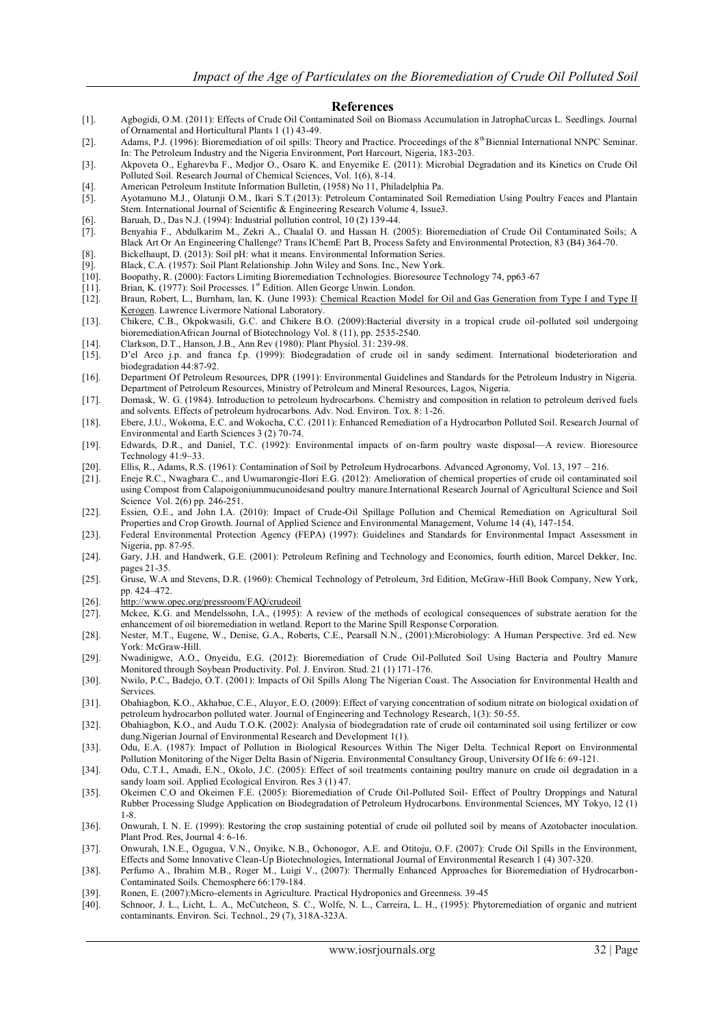#### **References**

- [1]. Agbogidi, O.M. (2011): Effects of Crude Oil Contaminated Soil on Biomass Accumulation in JatrophaCurcas L. Seedlings. Journal of Ornamental and Horticultural Plants 1 (1) 43-49.
- [2]. Adams, P.J. (1996): Bioremediation of oil spills: Theory and Practice. Proceedings of the 8<sup>th</sup>.Biennial International NNPC Seminar. In: The Petroleum Industry and the Nigeria Environment, Port Harcourt, Nigeria, 183-203.
- [3]. Akpoveta O., Egharevba F., Medjor O., Osaro K. and Enyemike E. (2011): Microbial Degradation and its Kinetics on Crude Oil Polluted Soil. Research Journal of Chemical Sciences, Vol. 1(6), 8-14.
- [4]. American Petroleum Institute Information Bulletin, (1958) No 11, Philadelphia Pa.
- [5]. Ayotamuno M.J., Olatunji O.M., Ikari S.T.(2013): Petroleum Contaminated Soil Remediation Using Poultry Feaces and Plantain Stem. International Journal of Scientific & Engineering Research Volume 4, Issue3.
- [6]. Baruah, D., Das N.J. (1994): Industrial pollution control, 10 (2) 139-44.
- [7]. Benyahia F., Abdulkarim M., Zekri A., Chaalal O. and Hassan H. (2005): Bioremediation of Crude Oil Contaminated Soils; A Black Art Or An Engineering Challenge? Trans IChemE Part B, Process Safety and Environmental Protection, 83 (B4) 364-70.
- [8]. Bickelhaupt, D. (2013): Soil pH: what it means. Environmental Information Series.
- [9]. Black, C.A. (1957): Soil Plant Relationship. John Wiley and Sons. Inc., New York.<br>[10]. Boopathy. R. (2000): Factors Limiting Bioremediation Technologies. Bioresource
- [10]. Boopathy, R. (2000): Factors Limiting Bioremediation Technologies. Bioresource Technology 74, pp63-67<br>[11]. Brian, K. (1977): Soil Processes. 1<sup>st</sup> Edition. Allen George Unwin. London.
- Brian, K. (1977): Soil Processes. 1st Edition. Allen George Unwin. London.
- [12]. Braun, Robert, L., Burnham, lan, K. (June 1993): [Chemical Reaction Model for Oil and Gas Generation from Type](http://www.osti.gov/bridge/servlets/purl/10169154-cT5xip/10169154.PDF) I and Type II [Kerogen.](http://www.osti.gov/bridge/servlets/purl/10169154-cT5xip/10169154.PDF) Lawrence Livermore National Laboratory.
- [13]. Chikere, C.B., Okpokwasili, G.C. and Chikere B.O. (2009):Bacterial diversity in a tropical crude oil-polluted soil undergoing bioremediationAfrican Journal of Biotechnology Vol. 8 (11), pp. 2535-2540.
- [14]. Clarkson, D.T., Hanson, J.B., Ann Rev (1980): Plant Physiol. 31: 239-98.<br>[15]. D'el Arco j.p. and franca f.p. (1999): Biodegradation of crude oil
- [15]. D'el Arco j.p. and franca f.p. (1999): Biodegradation of crude oil in sandy sediment. International biodeterioration and biodegradation 44:87-92.
- [16]. Department Of Petroleum Resources, DPR (1991): Environmental Guidelines and Standards for the Petroleum Industry in Nigeria. Department of Petroleum Resources, Ministry of Petroleum and Mineral Resources, Lagos, Nigeria.
- [17]. Domask, W. G. (1984). Introduction to petroleum hydrocarbons. Chemistry and composition in relation to petroleum derived fuels and solvents. Effects of petroleum hydrocarbons. Adv. Nod. Environ. Tox. 8: 1-26.
- [18]. Ebere, J.U., Wokoma, E.C. and Wokocha, C.C. (2011): Enhanced Remediation of a Hydrocarbon Polluted Soil. Research Journal of Environmental and Earth Sciences 3 (2) 70-74.
- [19]. Edwards, D.R., and Daniel, T.C. (1992): Environmental impacts of on-farm poultry waste disposal—A review. Bioresource Technology 41:9–33.
- [20]. Ellis, R., Adams, R.S. (1961): Contamination of Soil by Petroleum Hydrocarbons. Advanced Agronomy, Vol. 13, 197 216.
- Eneje R.C., Nwagbara C., and Uwumarongie-Ilori E.G. (2012): Amelioration of chemical properties of crude oil contaminated soil using Compost from Calapoigoniummucunoidesand poultry manure.International Research Journal of Agricultural Science and Soil Science Vol. 2(6) pp. 246-251.
- [22]. Essien, O.E., and John I.A. (2010): Impact of Crude-Oil Spillage Pollution and Chemical Remediation on Agricultural Soil Properties and Crop Growth. Journal of Applied Science and Environmental Management, Volume 14 (4), 147-154.
- [23]. Federal Environmental Protection Agency (FEPA) (1997): Guidelines and Standards for Environmental Impact Assessment in Nigeria, pp. 87-95.
- [24]. Gary, J.H. and Handwerk, G.E. (2001): Petroleum Refining and Technology and Economics, fourth edition, Marcel Dekker, Inc. pages 21-35.
- [25]. Gruse, W.A and Stevens, D.R. (1960): Chemical Technology of Petroleum, 3rd Edition, McGraw-Hill Book Company, New York, pp. 424–472.
- [26]. <http://www.opec.org/pressroom/FAQ/crudeoil>
- [27]. Mckee, K.G. and Mendelssohn, I.A., (1995): A review of the methods of ecological consequences of substrate aeration for the enhancement of oil bioremediation in wetland. Report to the Marine Spill Response Corporation.
- [28]. Nester, M.T., Eugene, W., Denise, G.A., Roberts, C.E., Pearsall N.N., (2001):Microbiology: A Human Perspective. 3rd ed. New York: McGraw-Hill.
- [29]. Nwadinigwe, A.O., Onyeidu, E.G. (2012): Bioremediation of Crude Oil-Polluted Soil Using Bacteria and Poultry Manure Monitored through Soybean Productivity. Pol. J. Environ. Stud. 21 (1) 171-176.
- [30]. Nwilo, P.C., Badejo, O.T. (2001): Impacts of Oil Spills Along The Nigerian Coast. The Association for Environmental Health and **Services**
- [31]. Obahiagbon, K.O., Akhabue, C.E., Aluyor, E.O. (2009): Effect of varying concentration of sodium nitrate on biological oxidation of petroleum hydrocarbon polluted water. Journal of Engineering and Technology Research, 1(3): 50-55.
- [32]. Obahiagbon, K.O., and Audu T.O.K. (2002): Analysia of biodegradation rate of crude oil contaminated soil using fertilizer or cow dung.Nigerian Journal of Environmental Research and Development 1(1).
- [33]. Odu, E.A. (1987): Impact of Pollution in Biological Resources Within The Niger Delta. Technical Report on Environmental Pollution Monitoring of the Niger Delta Basin of Nigeria. Environmental Consultancy Group, University Of Ife 6: 69-121.
- [34]. Odu, C.T.I., Amadi, E.N., Okolo, J.C. (2005): Effect of soil treatments containing poultry manure on crude oil degradation in a sandy loam soil. Applied Ecological Environ. Res 3 (1) 47.
- [35]. Okeimen C.O and Okeimen F.E. (2005): Bioremediation of Crude Oil-Polluted Soil- Effect of Poultry Droppings and Natural Rubber Processing Sludge Application on Biodegradation of Petroleum Hydrocarbons. Environmental Sciences, MY Tokyo, 12 (1) 1-8.
- [36]. Onwurah, I. N. E. (1999): Restoring the crop sustaining potential of crude oil polluted soil by means of Azotobacter inoculation. Plant Prod. Res, Journal 4: 6-16.
- [37]. Onwurah, I.N.E., Ogugua, V.N., Onyike, N.B., Ochonogor, A.E. and Otitoju, O.F. (2007): Crude Oil Spills in the Environment, Effects and Some Innovative Clean-Up Biotechnologies, International Journal of Environmental Research 1 (4) 307-320.
- [38]. Perfumo A., Ibrahim M.B., Roger M., Luigi V., (2007): Thermally Enhanced Approaches for Bioremediation of Hydrocarbon-Contaminated Soils. Chemosphere 66:179-184.
- [39]. Ronen, E. (2007):Micro-elements in Agriculture. Practical Hydroponics and Greenness. 39-45
- [40]. Schnoor, J. L., Licht, L. A., McCutcheon, S. C., Wolfe, N. L., Carreira, L. H., (1995): Phytoremediation of organic and nutrient contaminants. Environ. Sci. Technol., 29 (7), 318A-323A.